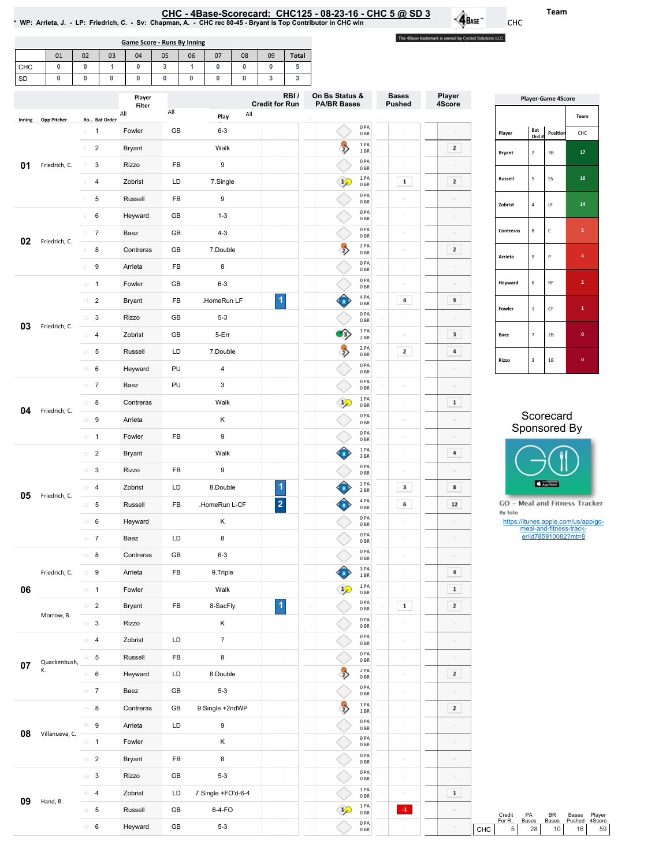## EHC - 4Base-Scorecard: CHC125 - 08-23-16 - CHC 5 @ SD 3<br>\* WP: Arrieta, J. - LP: Friedrich, C. - Sv: Chapman, A. - CHC rec 80-45 - Bryant is Top Contributor in CHC win

01 | 02 | 03 | 04 | 05 | 06 | 07 | 08 | 09 | Total |

0 0 1 0 3 1 0 0 0 5

Game Score - Runs By Inning

CHC

Team

CHC

The 4Base trademark is owned by Cycled Solutions LLC.

 $\hat{\mathbf{A}}_{\text{Base}}$ 

|                     |                     |                |                | Player        |     |         |                    |     | RBI/                    |                         | On Bs Status &                        |                         | <b>Bases</b>     | Player            | <b>Player-Game 4Score</b>                                                             |                |                        |                 |  |
|---------------------|---------------------|----------------|----------------|---------------|-----|---------|--------------------|-----|-------------------------|-------------------------|---------------------------------------|-------------------------|------------------|-------------------|---------------------------------------------------------------------------------------|----------------|------------------------|-----------------|--|
|                     |                     |                |                | Filter<br>All | All |         |                    |     | <b>Credit for Run</b>   | <b>PA/BR Bases</b>      |                                       |                         | <b>Pushed</b>    | 4Score            |                                                                                       |                |                        |                 |  |
| Inning              | <b>Opp Pitcher</b>  |                | Ro Bat Order   |               |     |         | Play               | All |                         |                         |                                       | 0PA                     |                  |                   |                                                                                       |                |                        | Team            |  |
|                     |                     | 1              | $\mathbf{1}$   | Fowler        |     | GB      | $6 - 3$            |     |                         |                         |                                       | 0BR<br>1PA              |                  |                   | Player                                                                                | Bat<br>Ord     | Position               | CHC             |  |
|                     |                     | $\overline{2}$ | $\overline{2}$ | Bryant        |     |         | Walk               |     |                         |                         | $\rightarrow$                         | 1 BR                    | $\Box$           | $\overline{2}$    | <b>Bryant</b>                                                                         | $\overline{2}$ | $3\mathsf{B}$          | 17              |  |
| 01                  | Friedrich, C.       | 3              | 3              | Rizzo         |     | FB      | 9                  |     |                         |                         |                                       | 0PA<br>0 <sub>BR</sub>  | $\hfill \square$ |                   |                                                                                       |                |                        |                 |  |
|                     |                     | 4              | $\overline{4}$ | Zobrist       |     | LD      | 7.Single           |     |                         |                         | $\mathcal{P}$                         | 1 PA<br>0 <sub>BR</sub> | $\mathbf{1}$     | $\overline{2}$    | Russell                                                                               | ${\sf s}$      | SS                     | 16 <sup>°</sup> |  |
|                     |                     | 5              | $\sqrt{5}$     | Russell       |     | FB      | 9                  |     |                         |                         |                                       | 0PA<br>0BR              | $\alpha$         |                   | Zobrist                                                                               | $\overline{4}$ | LF                     | 14              |  |
|                     | 6                   | 6              | Heyward        |               | GB  | $1 - 3$ |                    |     |                         |                         | 0PA<br>0 <sub>BR</sub>                |                         |                  |                   |                                                                                       |                |                        |                 |  |
|                     | $7 -$               | $\overline{7}$ | Baez           |               | GB  | $4 - 3$ |                    |     |                         |                         | 0PA<br>0 <sub>BR</sub>                |                         |                  | Contreras         | 8                                                                                     | $\mathsf{C}$   | $\mathbf S$            |                 |  |
|                     | 02<br>Friedrich, C. | 8              | 8              | Contreras     |     | GB      | 7.Double           |     |                         |                         | $\rightarrow$                         | 2 PA<br>0 <sub>BR</sub> | $\Box$           | $\mathbf{z}$      | Arrieta                                                                               | 9              | P                      | 4 <sup>1</sup>  |  |
|                     |                     | 9              | 9              | Arrieta       |     | FB      | 8                  |     |                         |                         |                                       | 0PA<br>0 <sub>BR</sub>  | $\equiv$         |                   |                                                                                       |                |                        |                 |  |
|                     | $10 - 1$            |                | Fowler         |               | GB  | $6 - 3$ |                    |     |                         |                         | 0PA<br>0BR                            | $\Box$                  |                  | Heyward           | 6                                                                                     | $\mathsf{RF}$  | $\mathbf{2}$           |                 |  |
|                     |                     | $11 - 2$       |                | Bryant        |     | FB      | .HomeRun LF        |     | 1                       |                         | $\left( R\right)$                     | 4 PA<br>0 <sub>BR</sub> | 4                | 9                 |                                                                                       |                |                        |                 |  |
|                     |                     | $12 \t3$       |                | Rizzo         |     | GB      | $5 - 3$            |     |                         |                         |                                       | 0PA<br>0 <sub>BR</sub>  |                  |                   | Fowler                                                                                | $\mathbf 1$    | $\mathsf{CF}$          | $\mathbf 1$     |  |
| 03                  | Friedrich, C.       | 13 4           |                | Zobrist       |     | GB      | 5-Err              |     |                         |                         | $\circ$                               | 1 PA<br>2 BR            |                  | 3                 | Baez                                                                                  | $\overline{7}$ | $2\mathsf{B}$          | $\pmb{0}$       |  |
|                     |                     | $14 - 5$       |                | Russell       |     | LD      | 7.Double           |     |                         |                         | $\rightarrow$                         | 2 PA<br>0BR             | $\mathbf{z}$     | 4                 |                                                                                       |                |                        |                 |  |
|                     |                     | 15             | 6              | Heyward       |     | PU      | 4                  |     |                         |                         |                                       | 0PA<br>0 <sub>BR</sub>  | $\equiv$         |                   | Rizzo                                                                                 | $\mathbf{3}$   | $1\mathrm{B}$          | $\mathbf{0}^-$  |  |
|                     |                     | $16$ 7         |                | Baez          |     | PU      | 3                  |     |                         |                         |                                       | 0PA<br>0 <sub>BR</sub>  | $\hfill \square$ |                   |                                                                                       |                |                        |                 |  |
| 04<br>Friedrich, C. | 17 8                |                | Contreras      |               |     | Walk    |                    |     |                         | $\mathcal{P}$           | 1 PA<br>0 <sub>BR</sub>               | $\sim$                  | $\mathbf{1}$     |                   |                                                                                       |                |                        |                 |  |
|                     | 18 9                |                | Arrieta        |               |     | Κ       |                    |     |                         |                         | 0PA                                   |                         |                  |                   | Scorecard                                                                             |                |                        |                 |  |
|                     | $19 - 1$            |                | Fowler         |               | FB  | 9       |                    |     |                         |                         | 0 <sub>BR</sub><br>0PA                |                         |                  |                   |                                                                                       | Sponsored By   |                        |                 |  |
|                     | $20 - 2$            |                | <b>Bryant</b>  |               |     | Walk    |                    |     |                         | $\overline{\mathbb{R}}$ | 0 <sub>BR</sub><br>1 PA               | $\Box$                  | 4                |                   |                                                                                       |                |                        |                 |  |
|                     | $21 - 3$            |                | Rizzo          |               | FB  | 9       |                    |     |                         |                         | 3BR<br>0PA                            | $\Box$                  |                  |                   |                                                                                       |                |                        |                 |  |
|                     |                     | $22 - 4$       |                | Zobrist       |     | LD      | 8.Double           |     | 1                       |                         |                                       | 0 <sub>BR</sub><br>2 PA | 3                | 8                 |                                                                                       | App Store      |                        |                 |  |
| 05                  | Friedrich, C.       | $23 - 5$       |                | Russell       |     | FB      | .HomeRun L-CF      |     | $\overline{\mathbf{c}}$ |                         | ⊕<br>Ĝ                                | 2 BR<br>4 PA            | 6                | 12                | GO - Meal and Fitness Tracker                                                         |                |                        |                 |  |
|                     |                     |                |                |               |     |         |                    |     |                         |                         |                                       | 0 <sub>BR</sub><br>0PA  |                  |                   | By Iolo                                                                               |                |                        |                 |  |
|                     |                     | $24 - 6$       |                | Heyward       |     |         | Κ                  |     |                         |                         |                                       | 0 <sub>BR</sub><br>0PA  |                  |                   | https://itunes.apple.com/us/app/go-<br>meal-and-fitness-track-<br>er/id785910082?mt=8 |                |                        |                 |  |
|                     |                     | $25 - 7$       |                | Baez          |     | LD      | 8                  |     |                         |                         |                                       | 0BR<br>0PA              | $\Box$           |                   |                                                                                       |                |                        |                 |  |
|                     |                     | $26 - 8$       |                | Contreras     |     | GB      | $6 - 3$            |     |                         |                         |                                       | 0BR<br>3 PA             |                  | $\Box$            |                                                                                       |                |                        |                 |  |
|                     | Friedrich, C.       | $27 - 9$       |                | Arrieta       |     | FB      | 9.Triple           |     |                         |                         | $\bf \bullet$                         | 1 BR<br>1PA             | $\Box$           | 4                 |                                                                                       |                |                        |                 |  |
| 06                  |                     | $28 - 1$       |                | Fowler        |     |         | Walk               |     |                         |                         | $\mathcal{P}$                         | 0 B R<br>0PA            | $\Box$           | $\mathbf 1$       |                                                                                       |                |                        |                 |  |
|                     | Morrow, B.          | $29 - 2$       |                | Bryant        |     | FB      | 8-SacFly           |     | $\overline{\mathbf{1}}$ |                         |                                       | 0B                      | $\mathbf{1}$     | $\mathbf{z}$      |                                                                                       |                |                        |                 |  |
|                     |                     | $30-3$         |                | Rizzo         |     |         | Κ                  |     |                         |                         |                                       | 0PA<br>0BR              |                  |                   |                                                                                       |                |                        |                 |  |
|                     |                     | $31 - 4$       |                | Zobrist       |     | LD      | $\overline{7}$     |     |                         |                         |                                       | 0PA<br>0BR              | $\Box$           |                   |                                                                                       |                |                        |                 |  |
| 07                  | Quackenbush,        | $32 - 5$       |                | Russell       |     | FB      | 8                  |     |                         |                         |                                       | 0PA<br>0BR              | $\alpha$         |                   |                                                                                       |                |                        |                 |  |
|                     | К.                  | 33 6           |                | Heyward       |     | LD      | 8.Double           |     |                         |                         | $\rightarrow$                         | 2 PA<br>0BR             | $\Box$           | $\mathbf{z}$      |                                                                                       |                |                        |                 |  |
|                     |                     | $34 - 7$       |                | Baez          |     | GB      | $5 - 3$            |     |                         |                         |                                       | 0PA<br>0 B R            | $\Box$           |                   |                                                                                       |                |                        |                 |  |
|                     |                     | 35 8           |                | Contreras     |     | GB      | 9.Single +2ndWP    |     |                         |                         | $\rightarrow$                         | 1PA<br>1 BR             | $\hfill \square$ | $\mathbf{z}$      |                                                                                       |                |                        |                 |  |
| 08                  | Villanueva, C.      | 36 9           |                | Arrieta       |     | LD      | 9                  |     |                         |                         |                                       | 0PA<br>0 <sub>BR</sub>  |                  |                   |                                                                                       |                |                        |                 |  |
|                     |                     | $37 - 1$       |                | Fowler        |     |         | Κ                  |     |                         |                         |                                       | 0PA<br>0BR              | $\Box$           |                   |                                                                                       |                |                        |                 |  |
|                     |                     | $38$ 2         |                | Bryant        |     | FB      | 8                  |     |                         |                         |                                       | 0PA<br>0BR              | $\Box$           |                   |                                                                                       |                |                        |                 |  |
|                     |                     | $39$ 3         |                | Rizzo         |     | GB      | $5 - 3$            |     |                         |                         |                                       | 0PA<br>0BR              | $\Box$           | $\Box$            |                                                                                       |                |                        |                 |  |
|                     |                     | $40 - 4$       |                | Zobrist       |     | LD      | 7.Single +FO'd-6-4 |     |                         |                         |                                       | 1PA<br>0 B R            | $\sim$           | $\mathbf{1}$      |                                                                                       |                |                        |                 |  |
| 09                  | Hand, B.            | $41 - 5$       |                | Russell       |     | GB      | $6-4-FO$           |     |                         |                         | $\overline{\mathbf{1}_{\mathcal{P}}}$ | 1 PA<br>0B              | $\cdot 1$        |                   | Credit                                                                                | PA             | BR                     | Bases<br>Player |  |
|                     | 42 6                |                | Heyward        |               | GB  | $5 - 3$ |                    |     |                         |                         | 0PA<br>0BR                            |                         |                  | For R<br>CHC<br>5 | Bases<br>28                                                                           | Bases<br>10    | 4Score<br>Pushed<br>16 |                 |  |

| <b>Player-Game 4Score</b> |                         |           |                |  |  |  |  |  |  |
|---------------------------|-------------------------|-----------|----------------|--|--|--|--|--|--|
|                           |                         |           | Team           |  |  |  |  |  |  |
| Player                    | Bat<br>Ord#             | Position  | CHC            |  |  |  |  |  |  |
| <b>Bryant</b>             | $\overline{2}$          | 3B        | 17             |  |  |  |  |  |  |
| <b>Russell</b>            | 5                       | SS        | 16             |  |  |  |  |  |  |
| Zobrist                   | 4                       | LF        | 14             |  |  |  |  |  |  |
| <b>Contreras</b>          | 8                       | C         | 5              |  |  |  |  |  |  |
| Arrieta                   | 9                       | P         | 4              |  |  |  |  |  |  |
| Heyward                   | 6                       | <b>RF</b> | $\overline{2}$ |  |  |  |  |  |  |
| Fowler                    | $\overline{1}$          | CF        | 1              |  |  |  |  |  |  |
| Baez                      | $\overline{7}$          | 2B        | $\mathbf{0}$   |  |  |  |  |  |  |
| Rizzo                     | $\overline{\mathbf{3}}$ | 1B        | $\mathbf{0}$   |  |  |  |  |  |  |

### ecard ored By

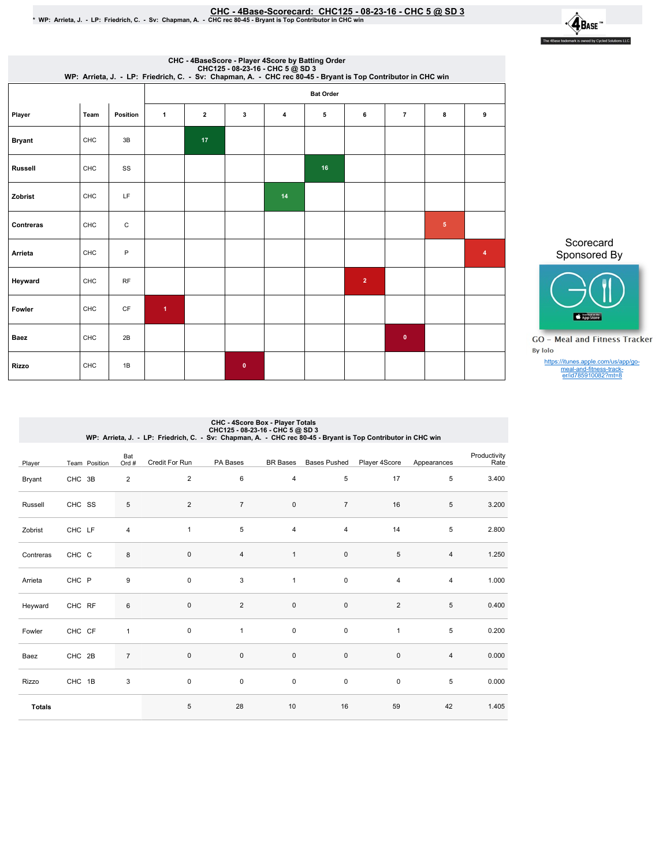## CHC - 4Base-Scorecard: CHC125 - 08-23-16 - CHC 5 @ SD 3 هـ CHC - 4Base-Scorecard: CHC125 - 08-23-16 - CHC 5 @ SD 3<br>WP: Arrieta, J. - LP: Friedrich, C. - Sv: Chapman, A. - CHC rec 80-45 - Bryant is Top Contributor in CHC w

 $\cdot \hat{\mathbf{A}}$ Base The 4Base trademark is owned by Cycled Solutions LLC.

| CHC - 4BaseScore - Player 4Score by Batting Order<br>CHC125 - 08-23-16 - CHC 5 @ SD 3<br>WP: Arrieta, J. - LP: Friedrich, C. - Sv: Chapman, A. - CHC rec 80-45 - Bryant is Top Contributor in CHC win |      |           |                      |                  |           |           |    |                |                |            |                    |  |  |  |
|-------------------------------------------------------------------------------------------------------------------------------------------------------------------------------------------------------|------|-----------|----------------------|------------------|-----------|-----------|----|----------------|----------------|------------|--------------------|--|--|--|
|                                                                                                                                                                                                       |      |           |                      | <b>Bat Order</b> |           |           |    |                |                |            |                    |  |  |  |
| Player                                                                                                                                                                                                | Team | Position  | $\mathbf{1}$         | $\mathbf{2}$     | 3         | $\pmb{4}$ | 5  | 6              | $\overline{7}$ | 8          | 9                  |  |  |  |
| <b>Bryant</b>                                                                                                                                                                                         | CHC  | 3B        |                      | 17               |           |           |    |                |                |            |                    |  |  |  |
| <b>Russell</b>                                                                                                                                                                                        | CHC  | SS        |                      |                  |           |           | 16 |                |                |            |                    |  |  |  |
| Zobrist                                                                                                                                                                                               | CHC  | LF        |                      |                  |           | 14        |    |                |                |            |                    |  |  |  |
| Contreras                                                                                                                                                                                             | CHC  | C         |                      |                  |           |           |    |                |                | $\sqrt{5}$ |                    |  |  |  |
| Arrieta                                                                                                                                                                                               | CHC  | P         |                      |                  |           |           |    |                |                |            | $\overline{\bf 4}$ |  |  |  |
| Heyward                                                                                                                                                                                               | CHC  | <b>RF</b> |                      |                  |           |           |    | $\overline{2}$ |                |            |                    |  |  |  |
| Fowler                                                                                                                                                                                                | CHC  | CF        | $\blacktriangleleft$ |                  |           |           |    |                |                |            |                    |  |  |  |
| <b>Baez</b>                                                                                                                                                                                           | CHC  | 2B        |                      |                  |           |           |    |                | $\mathbf 0$    |            |                    |  |  |  |
| <b>Rizzo</b>                                                                                                                                                                                          | CHC  | 1B        |                      |                  | $\pmb{0}$ |           |    |                |                |            |                    |  |  |  |





**GO** - Meal and Fitness Tracker By Iolo

https://itunes.apple.com/us/app/go-meal-and-fitness-track-er/id785910082?mt=8

# CHC - 4Score Box - Player Totals<br>CHC125 - 08-23-16 - CHC 125<br>WP: Arrieta, J. - LP: Friedrich, C. - Sv: Chapman, A. - CHC rec 80-45 - Bryant is Top Contributor in CHC win

| Player        | Team Position | Bat<br>Ord #            | Credit For Run | PA Bases       | <b>BR</b> Bases | <b>Bases Pushed</b> | Player 4Score  | Appearances    | Productivity<br>Rate |
|---------------|---------------|-------------------------|----------------|----------------|-----------------|---------------------|----------------|----------------|----------------------|
| Bryant        | CHC 3B        | $\overline{2}$          | $\overline{2}$ | 6              | $\overline{4}$  | 5                   | 17             | 5              | 3.400                |
| Russell       | CHC SS        | 5                       | 2              | $\overline{7}$ | $\pmb{0}$       | $\overline{7}$      | 16             | 5              | 3.200                |
| Zobrist       | CHC LF        | $\overline{\mathbf{4}}$ | $\mathbf{1}$   | 5              | $\overline{4}$  | 4                   | 14             | 5              | 2.800                |
| Contreras     | CHC C         | 8                       | $\mathbf 0$    | $\overline{4}$ | $\mathbf{1}$    | $\pmb{0}$           | 5              | $\overline{4}$ | 1.250                |
| Arrieta       | CHC P         | 9                       | $\mathsf 0$    | 3              | $\mathbf{1}$    | $\pmb{0}$           | 4              | $\overline{4}$ | 1.000                |
| Heyward       | CHC RF        | 6                       | $\mathbf 0$    | 2              | $\pmb{0}$       | $\mathsf 0$         | $\overline{2}$ | 5              | 0.400                |
| Fowler        | CHC CF        | $\mathbf{1}$            | $\mathsf 0$    | $\mathbf{1}$   | $\pmb{0}$       | $\pmb{0}$           | $\mathbf{1}$   | 5              | 0.200                |
| Baez          | CHC 2B        | $\overline{7}$          | $\mathsf 0$    | $\pmb{0}$      | $\pmb{0}$       | $\pmb{0}$           | $\pmb{0}$      | $\overline{4}$ | 0.000                |
| Rizzo         | CHC 1B        | $\sqrt{3}$              | $\mathbf 0$    | $\pmb{0}$      | $\pmb{0}$       | $\pmb{0}$           | $\pmb{0}$      | 5              | 0.000                |
| <b>Totals</b> |               |                         | 5              | 28             | 10              | 16                  | 59             | 42             | 1.405                |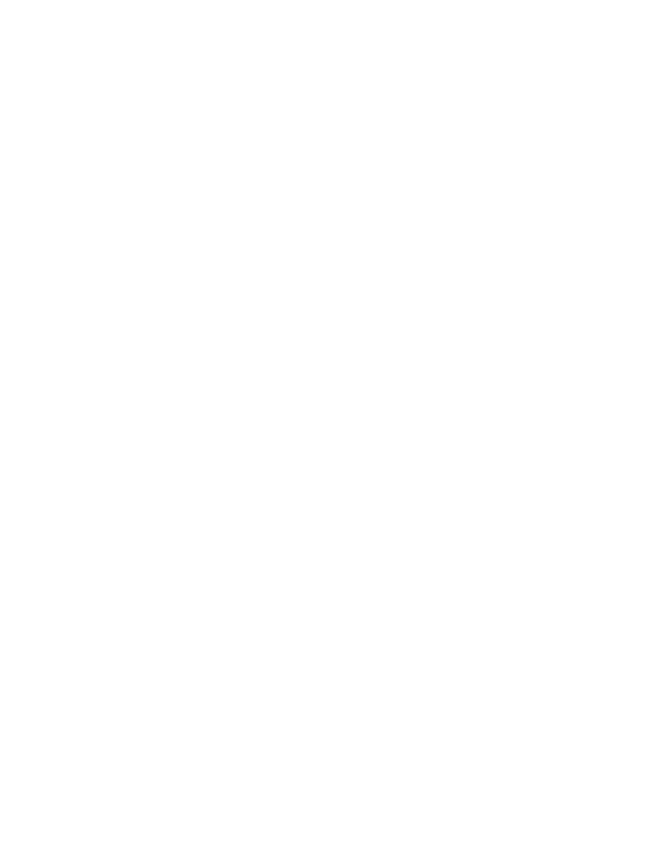|            | : 3 \$ULLHMD - / 3 ) ULHGULFK & 6Y & KDSPDQ \$ & + & UHF |                              |  | $8 + 8$ |  | & + & %DVH6FRUH 300 HU 6FRUHE \%DWLQJ 2 UGHU<br>$8+8$ # 6' |  | % UDQWLV 7 RS & RQMMEXWRULQ & + & Z LQ |  |  |  |
|------------|----------------------------------------------------------|------------------------------|--|---------|--|------------------------------------------------------------|--|----------------------------------------|--|--|--|
| %DW2 UGHU  |                                                          |                              |  |         |  |                                                            |  |                                        |  |  |  |
| 300 HU     | 7HDP                                                     | 3 RVIMRQ                     |  |         |  |                                                            |  |                                        |  |  |  |
| %U DOW     | $8 + 8$                                                  | $\%$                         |  |         |  |                                                            |  |                                        |  |  |  |
| 5 XVVHO    | $8 + 8$                                                  | 66                           |  |         |  |                                                            |  |                                        |  |  |  |
| $=$ REULWV | $8 + 8$                                                  | $\left( \frac{1}{2} \right)$ |  |         |  |                                                            |  |                                        |  |  |  |
| & ROWHLDV  | $8 + 8$                                                  | &                            |  |         |  |                                                            |  |                                        |  |  |  |
| \$ UUHMD   | $8 + 8$                                                  | 3                            |  |         |  |                                                            |  |                                        |  |  |  |
| $+HZDUS$   | $8 + 8$                                                  | 5)                           |  |         |  |                                                            |  |                                        |  |  |  |
| ) RZ OHU   | $8 + 8$                                                  | &)                           |  |         |  |                                                            |  |                                        |  |  |  |
| %DHJ       | $8 + 8$                                                  | $\%$                         |  |         |  |                                                            |  |                                        |  |  |  |
| $5$ 4] $R$ | $8 + 8$                                                  | $\%$                         |  |         |  |                                                            |  |                                        |  |  |  |

6 FRUHFDUG 6 SRQVRUHG%

KWOSY WACHYDSSORIERP XYDSSJR<br>PHDCDOGILLOMHVWODEN<br><u>HULG "PW</u>

|                    |               |                        | & + & 6 FRUH%R[ 30D\HU7RWDOV<br>$8 + 8$<br>: 3 \$UUHMD - /3 ) ULHGULFK & 6Y & KDSPDQ \$ & + & UHF %ULDQWLV 7RS & ROWLEXWRULQ & + & ZLQ | $8+8$ # 6' |  |                     |
|--------------------|---------------|------------------------|----------------------------------------------------------------------------------------------------------------------------------------|------------|--|---------------------|
| 30 MHJ             | 7HDP 3RVMLIRQ | %DW<br>$2 \, \text{L}$ | & UHGLV) RUSXQ 3\$%DVHV %5%DVHV %DVHV3XVKHG 300\HU 6FRUH \$SSHDUDGFHV                                                                  |            |  | 3 URGXFWYUW<br>5 DM |
| <b>YAJI DOW</b>    | $& 8 + 8$ %   |                        |                                                                                                                                        |            |  |                     |
| 5 XVVHOO           | &+& 66        |                        |                                                                                                                                        |            |  |                     |
| $=$ REUMV          | $8+8$ ()      |                        |                                                                                                                                        |            |  |                     |
| & ROWHUDV & + & &  |               |                        |                                                                                                                                        |            |  |                     |
| <b>SULLHAD</b>     | $8 + 8 = 3$   |                        |                                                                                                                                        |            |  |                     |
| + H ZDLG           | $8+8$ 5)      |                        |                                                                                                                                        |            |  |                     |
| ) RZ OHU           | $& 8 + 8 & 8$ |                        |                                                                                                                                        |            |  |                     |
| $\%$ DH $\& +\&$ % |               |                        |                                                                                                                                        |            |  |                     |
| 541R & + & %       |               |                        |                                                                                                                                        |            |  |                     |
| 7RWDOV             |               |                        |                                                                                                                                        |            |  |                     |
|                    |               |                        |                                                                                                                                        |            |  |                     |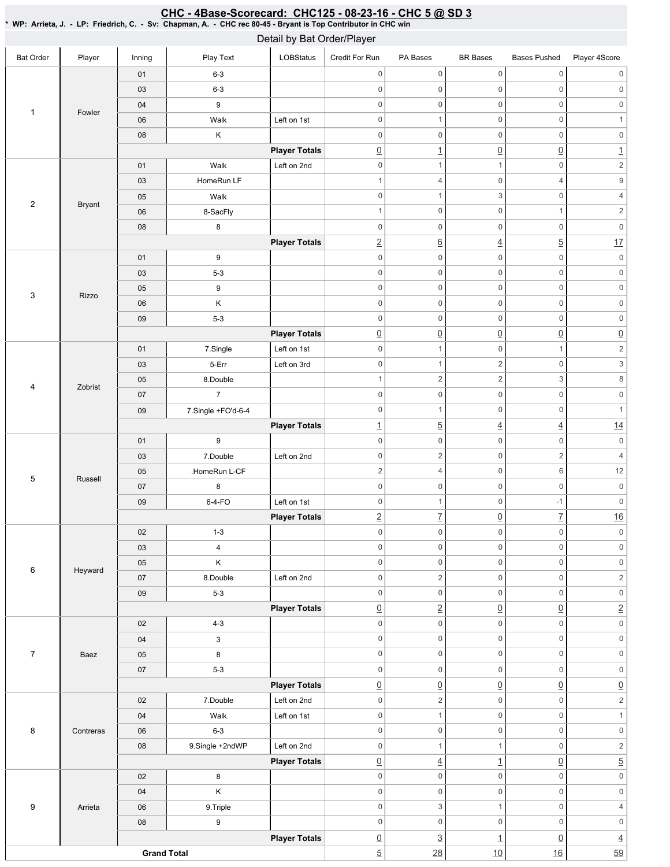#### \* WP: Arrieta, J. - LP: Friedrich, C. - Sv: Chapman, A. - CHC rec 80-45 - Bryant is Top Contributor in CHC win Bat Order | Player | Inning | PlayText | LOBStatus Credit For Run PA Bases BR Bases Bases Pushed Player 4Score 1 Fowler 01 6-3 03 6-3 04 9 06 | Walk Left on 1st 08 K **Player Totals** 2 Bryant 01 | Walk Left on 2nd 03 | HomeRun LF 05 | Walk 06 8-SacFly 08 8 **Player Totals** 3 Rizzo 01 9 03 5-3 05 9 06 K 09 5-3 **Player Totals** 4 Zobrist 01 7.Single Left on 1st 03 | 5-Err Left on 3rd 05 8.Double 07 7 09 7.Single +FO'd-6-4 **Player Totals** 5 Russell 01 9 03 | 7.Double | Left on 2nd 05 | .HomeRun L-CF 07 8 09 6-4-FO Lefton1st **Player Totals** 6 Heyward 02 1-3 03 4 05 K 07 8.Double Left on 2nd 09 5-3 **Player Totals** 7 Baez 02 4-3 04 3 05 8 07 5-3 **Player Totals** 8 Contreras 02 7.Double Left on 2nd 04 | Walk Left on 1st 06 6-3 08 9.Single +2ndWP Left on 2nd **Player Totals** 9 Arrieta 02 8 04 K 06 | 9.Triple 08 9 **Player Totals** 0 0 0 0 0 0 0 0 0 0 0 0 0 0 0 0 0 0 0 0 1 0 1 0 0 0 0 0 0  $\boxed{0}$  1  $\boxed{0}$   $\boxed{0}$  1 0 1 1 0 2 1  $\begin{array}{ccc} 4 & 0 & 4 & 9 \end{array}$ 0 1 3 0 4 1 0 0 1 2 0 0 0 0 0 0  $2$  6  $4$  5 17 0 0 0 0 0 0 0 0 0 0 0 0 0 0 0 0 0 0 0 0 0 0 0 0 0 0 0 0 0 0 0 0 0 0 0 0 1 0 1 2 0 1 2 0 3 1  $2$  2 3 8 0 0 0 0 0 0 0 0 1 0 1 1  $\frac{1}{2}$  5  $\frac{4}{1}$   $\frac{14}{1}$ 0 0 0 0 0 0  $0 \qquad \qquad 2 \qquad \qquad 0 \qquad \qquad 2 \qquad \qquad 4$ 2 4 0 6 12 0 0 0 0 0 0 0 1 0 -1 0 2 7 0 7 16 0 0 0 0 0 0 0 0 0 0 0 0 0 0 0 0 0 0  $0 \qquad \qquad 2 \qquad \qquad 0 \qquad \qquad 0 \qquad \qquad 2$ 0 0 0 0 0 0 0 2 0 0 2 0 0 0 0 0 0 0 0 0 0 0 0 0 0 0 0 0 0 0 0 0 0 0 0  $\boxed{0}$   $\boxed{0}$   $\boxed{0}$   $\boxed{0}$   $\boxed{0}$  $0 \qquad \qquad 2 \qquad \qquad 0 \qquad \qquad 0 \qquad \qquad 2$ 0 0 1 0 1 0 0 0 0 0 0 0 1 1 0 2 0 4 1 0 5 0 0 0 0 0 0 0 0 0 0 0 0 0 3 1 0 4 0 0 0 0 0 0 0 3 1 0 4 Detail by Bat Order/Player

 $\frac{5}{28}$  28 10 16 59

**Grand Total** 

### CHC - 4Base-Scorecard: CHC125 - 08-23-16 - CHC 5 @ SD 3